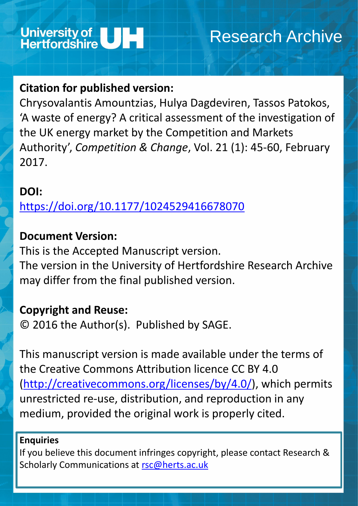

# Research Archive

# **Citation for published version:**

Chrysovalantis Amountzias, Hulya Dagdeviren, Tassos Patokos, 'A waste of energy? A critical assessment of the investigation of the UK energy market by the Competition and Markets Authority', *Competition & Change*, Vol. 21 (1): 45-60, February 2017.

## **DOI:**

<https://doi.org/10.1177/1024529416678070>

## **Document Version:**

If you believe this document infringes copyright, please contact Research & Scholarly Communications at [rsc@herts.ac.uk](mailto:rsc@herts.ac.uk)

This is the Accepted Manuscript version. The version in the University of Hertfordshire Research Archive may differ from the final published version.

# **Copyright and Reuse:**

© 2016 the Author(s). Published by SAGE.

This manuscript version is made available under the terms of the Creative Commons Attribution licence CC BY 4.0 (<http://creativecommons.org/licenses/by/4.0/>), which permits unrestricted re-use, distribution, and reproduction in any medium, provided the original work is properly cited.

### **Enquiries**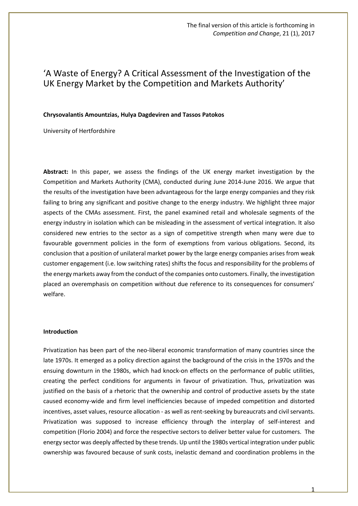#### 'A Waste of Energy? A Critical Assessment of the Investigation of the UK Energy Market by the Competition and Markets Authority'

#### **Chrysovalantis Amountzias, Hulya Dagdeviren and Tassos Patokos**

University of Hertfordshire

**Abstract:** In this paper, we assess the findings of the UK energy market investigation by the Competition and Markets Authority (CMA), conducted during June 2014-June 2016. We argue that the results of the investigation have been advantageous for the large energy companies and they risk failing to bring any significant and positive change to the energy industry. We highlight three major aspects of the CMAs assessment. First, the panel examined retail and wholesale segments of the energy industry in isolation which can be misleading in the assessment of vertical integration. It also considered new entries to the sector as a sign of competitive strength when many were due to favourable government policies in the form of exemptions from various obligations. Second, its conclusion that a position of unilateral market power by the large energy companies arises from weak customer engagement (i.e. low switching rates) shifts the focus and responsibility for the problems of the energy markets away from the conduct of the companies onto customers. Finally, the investigation placed an overemphasis on competition without due reference to its consequences for consumers' welfare.

#### **Introduction**

Privatization has been part of the neo-liberal economic transformation of many countries since the late 1970s. It emerged as a policy direction against the background of the crisis in the 1970s and the ensuing downturn in the 1980s, which had knock-on effects on the performance of public utilities, creating the perfect conditions for arguments in favour of privatization. Thus, privatization was justified on the basis of a rhetoric that the ownership and control of productive assets by the state caused economy-wide and firm level inefficiencies because of impeded competition and distorted incentives, asset values, resource allocation - as well as rent-seeking by bureaucrats and civil servants. Privatization was supposed to increase efficiency through the interplay of self-interest and competition (Florio 2004) and force the respective sectors to deliver better value for customers. The energy sector was deeply affected by these trends. Up until the 1980s vertical integration under public ownership was favoured because of sunk costs, inelastic demand and coordination problems in the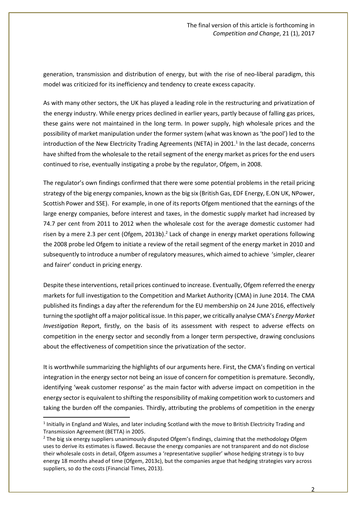generation, transmission and distribution of energy, but with the rise of neo-liberal paradigm, this model was criticized for its inefficiency and tendency to create excess capacity.

As with many other sectors, the UK has played a leading role in the restructuring and privatization of the energy industry. While energy prices declined in earlier years, partly because of falling gas prices, these gains were not maintained in the long term. In power supply, high wholesale prices and the possibility of market manipulation under the former system (what was known as 'the pool') led to the introduction of the New Electricity Trading Agreements (NETA) in 2001.<sup>1</sup> In the last decade, concerns have shifted from the wholesale to the retail segment of the energy market as prices for the end users continued to rise, eventually instigating a probe by the regulator, Ofgem, in 2008.

The regulator's own findings confirmed that there were some potential problems in the retail pricing strategy of the big energy companies, known as the big six (British Gas, EDF Energy, E.ON UK, NPower, Scottish Power and SSE). For example, in one of its reports Ofgem mentioned that the earnings of the large energy companies, before interest and taxes, in the domestic supply market had increased by 74.7 per cent from 2011 to 2012 when the wholesale cost for the average domestic customer had risen by a mere 2.3 per cent (Ofgem, 2013b).<sup>2</sup> Lack of change in energy market operations following the 2008 probe led Ofgem to initiate a review of the retail segment of the energy market in 2010 and subsequently to introduce a number of regulatory measures, which aimed to achieve 'simpler, clearer and fairer' conduct in pricing energy.

Despite these interventions, retail prices continued to increase. Eventually, Ofgem referred the energy markets for full investigation to the Competition and Market Authority (CMA) in June 2014. The CMA published its findings a day after the referendum for the EU membership on 24 June 2016, effectively turning the spotlight off a major political issue. In this paper, we critically analyse CMA's *Energy Market Investigation* Report, firstly, on the basis of its assessment with respect to adverse effects on competition in the energy sector and secondly from a longer term perspective, drawing conclusions about the effectiveness of competition since the privatization of the sector.

It is worthwhile summarizing the highlights of our arguments here. First, the CMA's finding on vertical integration in the energy sector not being an issue of concern for competition is premature. Secondly, identifying 'weak customer response' as the main factor with adverse impact on competition in the energy sector is equivalent to shifting the responsibility of making competition work to customers and taking the burden off the companies. Thirdly, attributing the problems of competition in the energy

 $<sup>1</sup>$  Initially in England and Wales, and later including Scotland with the move to British Electricity Trading and</sup> Transmission Agreement (BETTA) in 2005.

<sup>&</sup>lt;sup>2</sup> The big six energy suppliers unanimously disputed Ofgem's findings, claiming that the methodology Ofgem uses to derive its estimates is flawed. Because the energy companies are not transparent and do not disclose their wholesale costs in detail, Ofgem assumes a 'representative supplier' whose hedging strategy is to buy energy 18 months ahead of time (Ofgem, 2013c), but the companies argue that hedging strategies vary across suppliers, so do the costs (Financial Times, 2013).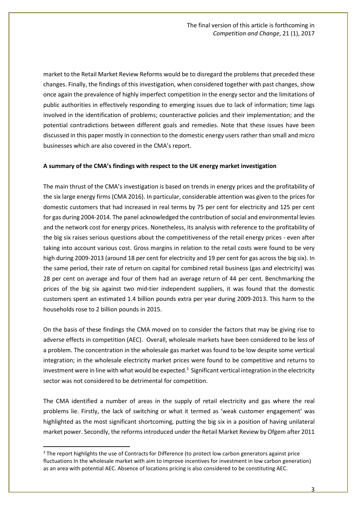market to the Retail Market Review Reforms would be to disregard the problems that preceded these changes. Finally, the findings of this investigation, when considered together with past changes, show once again the prevalence of highly imperfect competition in the energy sector and the limitations of public authorities in effectively responding to emerging issues due to lack of information; time lags involved in the identification of problems; counteractive policies and their implementation; and the potential contradictions between different goals and remedies. Note that these issues have been discussed in this paper mostly in connection to the domestic energy users rather than small and micro businesses which are also covered in the CMA's report.

#### **A summary of the CMA's findings with respect to the UK energy market investigation**

The main thrust of the CMA's investigation is based on trends in energy prices and the profitability of the six large energy firms (CMA 2016). In particular, considerable attention was given to the prices for domestic customers that had increased in real terms by 75 per cent for electricity and 125 per cent for gas during 2004-2014. The panel acknowledged the contribution of social and environmental levies and the network cost for energy prices. Nonetheless, its analysis with reference to the profitability of the big six raises serious questions about the competitiveness of the retail energy prices - even after taking into account various cost. Gross margins in relation to the retail costs were found to be very high during 2009-2013 (around 18 per cent for electricity and 19 per cent for gas across the big six). In the same period, their rate of return on capital for combined retail business (gas and electricity) was 28 per cent on average and four of them had an average return of 44 per cent. Benchmarking the prices of the big six against two mid-tier independent suppliers, it was found that the domestic customers spent an estimated 1.4 billion pounds extra per year during 2009-2013. This harm to the households rose to 2 billion pounds in 2015.

On the basis of these findings the CMA moved on to consider the factors that may be giving rise to adverse effects in competition (AEC). Overall, wholesale markets have been considered to be less of a problem. The concentration in the wholesale gas market was found to be low despite some vertical integration; in the wholesale electricity market prices were found to be competitive and returns to investment were in line with what would be expected.<sup>3</sup> Significant vertical integration in the electricity sector was not considered to be detrimental for competition.

The CMA identified a number of areas in the supply of retail electricity and gas where the real problems lie. Firstly, the lack of switching or what it termed as 'weak customer engagement' was highlighted as the most significant shortcoming, putting the big six in a position of having unilateral market power. Secondly, the reformsintroduced under the Retail Market Review by Ofgem after 2011

 $\overline{a}$ 

<sup>&</sup>lt;sup>3</sup> The report highlights the use of Contracts for Difference (to protect low carbon generators against price fluctuations In the wholesale market with aim to improve incentives for investment in low carbon generation) as an area with potential AEC. Absence of locations pricing is also considered to be constituting AEC.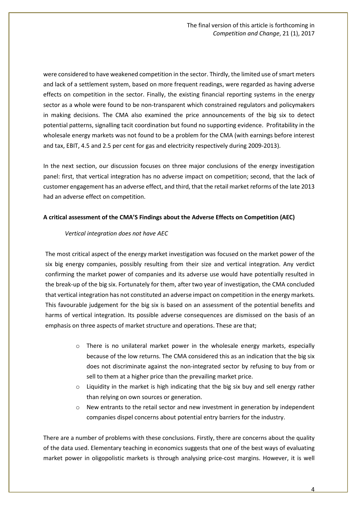were considered to have weakened competition in the sector. Thirdly, the limited use of smart meters and lack of a settlement system, based on more frequent readings, were regarded as having adverse effects on competition in the sector. Finally, the existing financial reporting systems in the energy sector as a whole were found to be non-transparent which constrained regulators and policymakers in making decisions. The CMA also examined the price announcements of the big six to detect potential patterns, signalling tacit coordination but found no supporting evidence. Profitability in the wholesale energy markets was not found to be a problem for the CMA (with earnings before interest and tax, EBIT, 4.5 and 2.5 per cent for gas and electricity respectively during 2009-2013).

In the next section, our discussion focuses on three major conclusions of the energy investigation panel: first, that vertical integration has no adverse impact on competition; second, that the lack of customer engagement has an adverse effect, and third, that the retail market reforms of the late 2013 had an adverse effect on competition.

#### **A critical assessment of the CMA'S Findings about the Adverse Effects on Competition (AEC)**

#### *Vertical integration does not have AEC*

The most critical aspect of the energy market investigation was focused on the market power of the six big energy companies, possibly resulting from their size and vertical integration. Any verdict confirming the market power of companies and its adverse use would have potentially resulted in the break-up of the big six. Fortunately for them, after two year of investigation, the CMA concluded that vertical integration has not constituted an adverse impact on competition in the energy markets. This favourable judgement for the big six is based on an assessment of the potential benefits and harms of vertical integration. Its possible adverse consequences are dismissed on the basis of an emphasis on three aspects of market structure and operations. These are that;

- $\circ$  There is no unilateral market power in the wholesale energy markets, especially because of the low returns. The CMA considered this as an indication that the big six does not discriminate against the non-integrated sector by refusing to buy from or sell to them at a higher price than the prevailing market price.
- $\circ$  Liquidity in the market is high indicating that the big six buy and sell energy rather than relying on own sources or generation.
- $\circ$  New entrants to the retail sector and new investment in generation by independent companies dispel concerns about potential entry barriers for the industry.

There are a number of problems with these conclusions. Firstly, there are concerns about the quality of the data used. Elementary teaching in economics suggests that one of the best ways of evaluating market power in oligopolistic markets is through analysing price-cost margins. However, it is well

4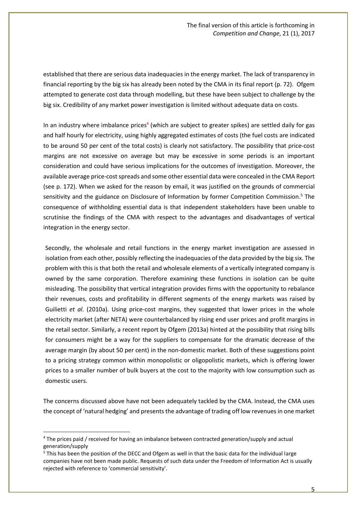established that there are serious data inadequacies in the energy market. The lack of transparency in financial reporting by the big six has already been noted by the CMA in its final report (p. 72). Ofgem attempted to generate cost data through modelling, but these have been subject to challenge by the big six. Credibility of any market power investigation is limited without adequate data on costs.

In an industry where imbalance prices<sup>4</sup> (which are subject to greater spikes) are settled daily for gas and half hourly for electricity, using highly aggregated estimates of costs (the fuel costs are indicated to be around 50 per cent of the total costs) is clearly not satisfactory. The possibility that price-cost margins are not excessive on average but may be excessive in some periods is an important consideration and could have serious implications for the outcomes of investigation. Moreover, the available average price-cost spreads and some other essential data were concealed in the CMA Report (see p. 172). When we asked for the reason by email, it was justified on the grounds of commercial sensitivity and the guidance on Disclosure of Information by former Competition Commission. <sup>5</sup> The consequence of withholding essential data is that independent stakeholders have been unable to scrutinise the findings of the CMA with respect to the advantages and disadvantages of vertical integration in the energy sector.

Secondly, the wholesale and retail functions in the energy market investigation are assessed in isolation from each other, possibly reflecting the inadequacies of the data provided by the big six. The problem with this is that both the retail and wholesale elements of a vertically integrated company is owned by the same corporation. Therefore examining these functions in isolation can be quite misleading. The possibility that vertical integration provides firms with the opportunity to rebalance their revenues, costs and profitability in different segments of the energy markets was raised by Guilietti *et al*. (2010a). Using price-cost margins, they suggested that lower prices in the whole electricity market (after NETA) were counterbalanced by rising end user prices and profit margins in the retail sector. Similarly, a recent report by Ofgem (2013a) hinted at the possibility that rising bills for consumers might be a way for the suppliers to compensate for the dramatic decrease of the average margin (by about 50 per cent) in the non-domestic market. Both of these suggestions point to a pricing strategy common within monopolistic or oligopolistic markets, which is offering lower prices to a smaller number of bulk buyers at the cost to the majority with low consumption such as domestic users.

The concerns discussed above have not been adequately tackled by the CMA. Instead, the CMA uses the concept of 'natural hedging' and presents the advantage of trading off low revenues in one market

<sup>4</sup> The prices paid / received for having an imbalance between contracted generation/supply and actual generation/supply

<sup>5</sup> This has been the position of the DECC and Ofgem as well in that the basic data for the individual large companies have not been made public. Requests of such data under the Freedom of Information Act is usually rejected with reference to 'commercial sensitivity'.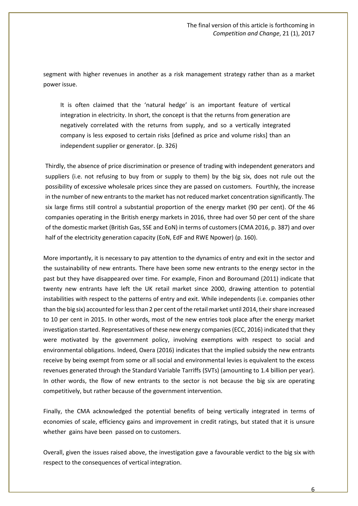segment with higher revenues in another as a risk management strategy rather than as a market power issue.

It is often claimed that the 'natural hedge' is an important feature of vertical integration in electricity. In short, the concept is that the returns from generation are negatively correlated with the returns from supply, and so a vertically integrated company is less exposed to certain risks [defined as price and volume risks] than an independent supplier or generator. (p. 326)

Thirdly, the absence of price discrimination or presence of trading with independent generators and suppliers (i.e. not refusing to buy from or supply to them) by the big six, does not rule out the possibility of excessive wholesale prices since they are passed on customers. Fourthly, the increase in the number of new entrants to the market has not reduced market concentration significantly. The six large firms still control a substantial proportion of the energy market (90 per cent). Of the 46 companies operating in the British energy markets in 2016, three had over 50 per cent of the share of the domestic market (British Gas, SSE and EoN) in terms of customers (CMA 2016, p. 387) and over half of the electricity generation capacity (EoN, EdF and RWE Npower) (p. 160).

More importantly, it is necessary to pay attention to the dynamics of entry and exit in the sector and the sustainability of new entrants. There have been some new entrants to the energy sector in the past but they have disappeared over time. For example, Finon and Boroumand (2011) indicate that twenty new entrants have left the UK retail market since 2000, drawing attention to potential instabilities with respect to the patterns of entry and exit. While independents (i.e. companies other than the big six) accounted for less than 2 per cent of the retail market until 2014, their share increased to 10 per cent in 2015. In other words, most of the new entries took place after the energy market investigation started. Representatives of these new energy companies (ECC, 2016) indicated that they were motivated by the government policy, involving exemptions with respect to social and environmental obligations. Indeed, Oxera (2016) indicates that the implied subsidy the new entrants receive by being exempt from some or all social and environmental levies is equivalent to the excess revenues generated through the Standard Variable Tarriffs (SVTs) (amounting to 1.4 billion per year). In other words, the flow of new entrants to the sector is not because the big six are operating competitively, but rather because of the government intervention.

Finally, the CMA acknowledged the potential benefits of being vertically integrated in terms of economies of scale, efficiency gains and improvement in credit ratings, but stated that it is unsure whether gains have been passed on to customers.

Overall, given the issues raised above, the investigation gave a favourable verdict to the big six with respect to the consequences of vertical integration.

6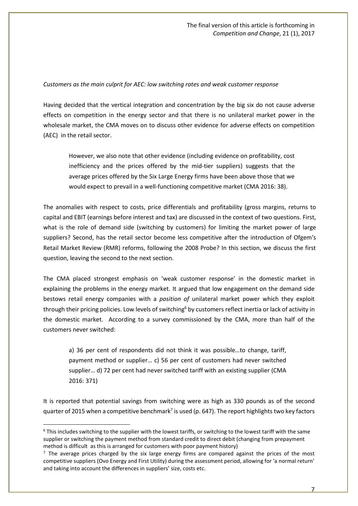#### *Customers as the main culprit for AEC: low switching rates and weak customer response*

Having decided that the vertical integration and concentration by the big six do not cause adverse effects on competition in the energy sector and that there is no unilateral market power in the wholesale market, the CMA moves on to discuss other evidence for adverse effects on competition (AEC) in the retail sector.

However, we also note that other evidence (including evidence on profitability, cost inefficiency and the prices offered by the mid-tier suppliers) suggests that the average prices offered by the Six Large Energy firms have been above those that we would expect to prevail in a well-functioning competitive market (CMA 2016: 38).

The anomalies with respect to costs, price differentials and profitability (gross margins, returns to capital and EBIT (earnings before interest and tax) are discussed in the context of two questions. First, what is the role of demand side (switching by customers) for limiting the market power of large suppliers? Second, has the retail sector become less competitive after the introduction of Ofgem's Retail Market Review (RMR) reforms, following the 2008 Probe? In this section, we discuss the first question, leaving the second to the next section.

The CMA placed strongest emphasis on 'weak customer response' in the domestic market in explaining the problems in the energy market. It argued that low engagement on the demand side bestows retail energy companies with a *position of* unilateral market power which they exploit through their pricing policies. Low levels of switching<sup>6</sup> by customers reflect inertia or lack of activity in the domestic market. According to a survey commissioned by the CMA, more than half of the customers never switched:

a) 36 per cent of respondents did not think it was possible…to change, tariff, payment method or supplier… c) 56 per cent of customers had never switched supplier… d) 72 per cent had never switched tariff with an existing supplier (CMA 2016: 371)

It is reported that potential savings from switching were as high as 330 pounds as of the second quarter of 2015 when a competitive benchmark<sup>7</sup> is used (p. 647). The report highlights two key factors

 $6$  This includes switching to the supplier with the lowest tariffs, or switching to the lowest tariff with the same supplier or switching the payment method from standard credit to direct debit (changing from prepayment method is difficult as this is arranged for customers with poor payment history)

 $<sup>7</sup>$  The average prices charged by the six large energy firms are compared against the prices of the most</sup> competitive suppliers (Ovo Energy and First Utility) during the assessment period, allowing for 'a normal return' and taking into account the differences in suppliers' size, costs etc.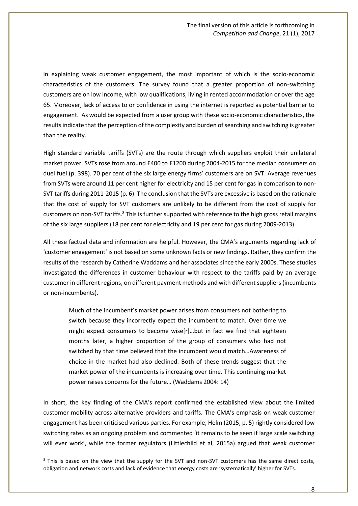in explaining weak customer engagement, the most important of which is the socio-economic characteristics of the customers. The survey found that a greater proportion of non-switching customers are on low income, with low qualifications, living in rented accommodation or over the age 65. Moreover, lack of access to or confidence in using the internet is reported as potential barrier to engagement. As would be expected from a user group with these socio-economic characteristics, the results indicate that the perception of the complexity and burden of searching and switching is greater than the reality.

High standard variable tariffs (SVTs) are the route through which suppliers exploit their unilateral market power. SVTs rose from around £400 to £1200 during 2004-2015 for the median consumers on duel fuel (p. 398). 70 per cent of the six large energy firms' customers are on SVT. Average revenues from SVTs were around 11 per cent higher for electricity and 15 per cent for gas in comparison to non-SVT tariffs during 2011-2015 (p. 6). The conclusion that the SVTs are excessive is based on the rationale that the cost of supply for SVT customers are unlikely to be different from the cost of supply for customers on non-SVT tariffs.<sup>8</sup> This is further supported with reference to the high gross retail margins of the six large suppliers (18 per cent for electricity and 19 per cent for gas during 2009-2013).

All these factual data and information are helpful. However, the CMA's arguments regarding lack of 'customer engagement' is not based on some unknown facts or new findings. Rather, they confirm the results of the research by Catherine Waddams and her associates since the early 2000s. These studies investigated the differences in customer behaviour with respect to the tariffs paid by an average customer in different regions, on different payment methods and with different suppliers (incumbents or non-incumbents).

Much of the incumbent's market power arises from consumers not bothering to switch because they incorrectly expect the incumbent to match. Over time we might expect consumers to become wise[r]…but in fact we find that eighteen months later, a higher proportion of the group of consumers who had not switched by that time believed that the incumbent would match…Awareness of choice in the market had also declined. Both of these trends suggest that the market power of the incumbents is increasing over time. This continuing market power raises concerns for the future… (Waddams 2004: 14)

In short, the key finding of the CMA's report confirmed the established view about the limited customer mobility across alternative providers and tariffs. The CMA's emphasis on weak customer engagement has been criticised various parties. For example, Helm (2015, p. 5) rightly considered low switching rates as an ongoing problem and commented 'it remains to be seen if large scale switching will ever work', while the former regulators (Littlechild et al, 2015a) argued that weak customer

<sup>8</sup> This is based on the view that the supply for the SVT and non-SVT customers has the same direct costs, obligation and network costs and lack of evidence that energy costs are 'systematically' higher for SVTs.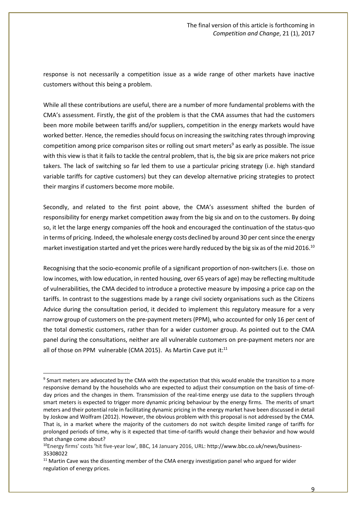response is not necessarily a competition issue as a wide range of other markets have inactive customers without this being a problem.

While all these contributions are useful, there are a number of more fundamental problems with the CMA's assessment. Firstly, the gist of the problem is that the CMA assumes that had the customers been more mobile between tariffs and/or suppliers, competition in the energy markets would have worked better. Hence, the remedies should focus on increasing the switching rates through improving competition among price comparison sites or rolling out smart meters<sup>9</sup> as early as possible. The issue with this view is that it fails to tackle the central problem, that is, the big six are price makers not price takers. The lack of switching so far led them to use a particular pricing strategy (i.e. high standard variable tariffs for captive customers) but they can develop alternative pricing strategies to protect their margins if customers become more mobile.

Secondly, and related to the first point above, the CMA's assessment shifted the burden of responsibility for energy market competition away from the big six and on to the customers. By doing so, it let the large energy companies off the hook and encouraged the continuation of the status-quo in terms of pricing. Indeed, the wholesale energy costs declined by around 30 per centsince the energy market investigation started and yet the prices were hardly reduced by the big six as of the mid 2016.<sup>10</sup>

Recognising that the socio-economic profile of a significant proportion of non-switchers (i.e. those on low incomes, with low education, in rented housing, over 65 years of age) may be reflecting multitude of vulnerabilities, the CMA decided to introduce a protective measure by imposing a price cap on the tariffs. In contrast to the suggestions made by a range civil society organisations such as the Citizens Advice during the consultation period, it decided to implement this regulatory measure for a very narrow group of customers on the pre-payment meters (PPM), who accounted for only 16 per cent of the total domestic customers, rather than for a wider customer group. As pointed out to the CMA panel during the consultations, neither are all vulnerable customers on pre-payment meters nor are all of those on PPM vulnerable (CMA 2015). As Martin Cave put it: $11$ 

<sup>&</sup>lt;sup>9</sup> Smart meters are advocated by the CMA with the expectation that this would enable the transition to a more responsive demand by the households who are expected to adjust their consumption on the basis of time-ofday prices and the changes in them. Transmission of the real-time energy use data to the suppliers through smart meters is expected to trigger more dynamic pricing behaviour by the energy firms. The merits of smart meters and their potential role in facilitating dynamic pricing in the energy market have been discussed in detail by Joskow and Wolfram (2012). However, the obvious problem with this proposal is not addressed by the CMA. That is, in a market where the majority of the customers do not switch despite limited range of tariffs for prolonged periods of time, why is it expected that time-of-tariffs would change their behavior and how would that change come about?

<sup>10</sup>Energy firms' costs 'hit five-year low', BBC, 14 January 2016, URL: http://www.bbc.co.uk/news/business-35308022

 $11$  Martin Cave was the dissenting member of the CMA energy investigation panel who argued for wider regulation of energy prices.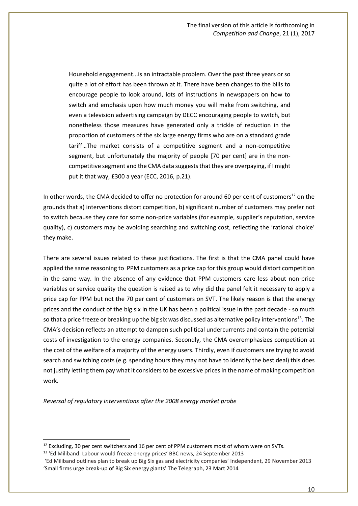Household engagement...is an intractable problem. Over the past three years or so quite a lot of effort has been thrown at it. There have been changes to the bills to encourage people to look around, lots of instructions in newspapers on how to switch and emphasis upon how much money you will make from switching, and even a television advertising campaign by DECC encouraging people to switch, but nonetheless those measures have generated only a trickle of reduction in the proportion of customers of the six large energy firms who are on a standard grade tariff…The market consists of a competitive segment and a non-competitive segment, but unfortunately the majority of people [70 per cent] are in the noncompetitive segment and the CMA data suggests that they are overpaying, if I might put it that way, £300 a year (ECC, 2016, p.21).

In other words, the CMA decided to offer no protection for around 60 per cent of customers<sup>12</sup> on the grounds that a) interventions distort competition, b) significant number of customers may prefer not to switch because they care for some non-price variables (for example, supplier's reputation, service quality), c) customers may be avoiding searching and switching cost, reflecting the 'rational choice' they make.

There are several issues related to these justifications. The first is that the CMA panel could have applied the same reasoning to PPM customers as a price cap for this group would distort competition in the same way. In the absence of any evidence that PPM customers care less about non-price variables or service quality the question is raised as to why did the panel felt it necessary to apply a price cap for PPM but not the 70 per cent of customers on SVT. The likely reason is that the energy prices and the conduct of the big six in the UK has been a political issue in the past decade - so much so that a price freeze or breaking up the big six was discussed as alternative policy interventions<sup>13</sup>. The CMA's decision reflects an attempt to dampen such political undercurrents and contain the potential costs of investigation to the energy companies. Secondly, the CMA overemphasizes competition at the cost of the welfare of a majority of the energy users. Thirdly, even if customers are trying to avoid search and switching costs (e.g. spending hours they may not have to identify the best deal) this does not justify letting them pay what it considers to be excessive prices in the name of making competition work.

*Reversal of regulatory interventions after the 2008 energy market probe*

 $12$  Excluding, 30 per cent switchers and 16 per cent of PPM customers most of whom were on SVTs.

<sup>&</sup>lt;sup>13</sup> 'Ed Miliband: Labour would freeze energy prices' BBC news, 24 September 2013

<sup>&#</sup>x27;Ed Miliband outlines plan to break up Big Six gas and electricity companies' Independent, 29 November 2013 'Small firms urge break-up of Big Six energy giants' The Telegraph, 23 Mart 2014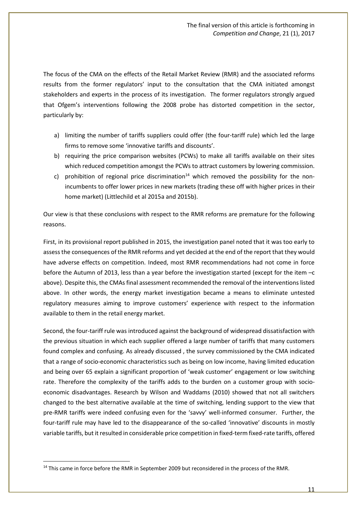The focus of the CMA on the effects of the Retail Market Review (RMR) and the associated reforms results from the former regulators' input to the consultation that the CMA initiated amongst stakeholders and experts in the process of its investigation. The former regulators strongly argued that Ofgem's interventions following the 2008 probe has distorted competition in the sector, particularly by:

- a) limiting the number of tariffs suppliers could offer (the four-tariff rule) which led the large firms to remove some 'innovative tariffs and discounts'.
- b) requiring the price comparison websites (PCWs) to make all tariffs available on their sites which reduced competition amongst the PCWs to attract customers by lowering commission.
- c) prohibition of regional price discrimination<sup>14</sup> which removed the possibility for the nonincumbents to offer lower prices in new markets (trading these off with higher prices in their home market) (Littlechild et al 2015a and 2015b).

Our view is that these conclusions with respect to the RMR reforms are premature for the following reasons.

First, in its provisional report published in 2015, the investigation panel noted that it was too early to assess the consequences of the RMR reforms and yet decided at the end of the report that they would have adverse effects on competition. Indeed, most RMR recommendations had not come in force before the Autumn of 2013, less than a year before the investigation started (except for the item –c above). Despite this, the CMAs final assessment recommended the removal of the interventions listed above. In other words, the energy market investigation became a means to eliminate untested regulatory measures aiming to improve customers' experience with respect to the information available to them in the retail energy market.

Second, the four-tariff rule was introduced against the background of widespread dissatisfaction with the previous situation in which each supplier offered a large number of tariffs that many customers found complex and confusing. As already discussed , the survey commissioned by the CMA indicated that a range of socio-economic characteristics such as being on low income, having limited education and being over 65 explain a significant proportion of 'weak customer' engagement or low switching rate. Therefore the complexity of the tariffs adds to the burden on a customer group with socioeconomic disadvantages. Research by Wilson and Waddams (2010) showed that not all switchers changed to the best alternative available at the time of switching, lending support to the view that pre-RMR tariffs were indeed confusing even for the 'savvy' well-informed consumer. Further, the four-tariff rule may have led to the disappearance of the so-called 'innovative' discounts in mostly variable tariffs, but it resulted in considerable price competition in fixed-term fixed-rate tariffs, offered

 $\overline{a}$ 

<sup>&</sup>lt;sup>14</sup> This came in force before the RMR in September 2009 but reconsidered in the process of the RMR.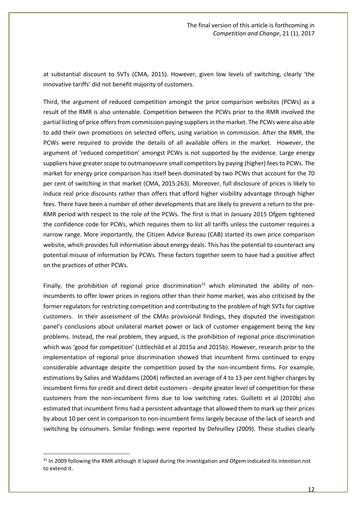at substantial discount to SVTs (CMA, 2015). However, given low levels of switching, clearly 'the innovative tariffs' did not benefit majority of customers.

Third, the argument of reduced competition amongst the price comparison websites (PCWs) as a result of the RMR is also untenable. Competition between the PCWs prior to the RMR involved the partial listing of price offers from commission paying suppliers in the market. The PCWs were also able to add their own promotions on selected offers, using variation in commission. After the RMR, the PCWs were required to provide the details of all available offers in the market. However, the argument of 'reduced competition' amongst PCWs is not supported by the evidence. Large energy suppliers have greater scope to outmanoeuvre small competitors by paying (higher) fees to PCWs. The market for energy price comparison has itself been dominated by two PCWs that account for the 70 per cent of switching in that market (CMA, 2015:263). Moreover, full disclosure of prices is likely to induce real price discounts rather than offers that afford higher visibility advantage through higher fees. There have been a number of other developments that are likely to prevent a return to the pre-RMR period with respect to the role of the PCWs. The first is that in January 2015 Ofgem tightened the confidence code for PCWs, which requires them to list all tariffs unless the customer requires a narrow range. More importantly, the Citizen Advice Bureau (CAB) started its own price comparison website, which provides full information about energy deals. This has the potential to counteract any potential misuse of information by PCWs. These factors together seem to have had a positive affect on the practices of other PCWs.

Finally, the prohibition of regional price discrimination<sup>15</sup> which eliminated the ability of nonincumbents to offer lower prices in regions other than their home market, was also criticised by the former regulators for restricting competition and contributing to the problem of high SVTs for captive customers. In their assessment of the CMAs provisional findings, they disputed the investigation panel's conclusions about unilateral market power or lack of customer engagement being the key problems. Instead, the real problem, they argued, is the prohibition of regional price discrimination which was 'good for competition' (Littlechild et al 2015a and 2015b). However, research prior to the implementation of regional price discrimination showed that incumbent firms continued to enjoy considerable advantage despite the competition posed by the non-incumbent firms. For example, estimations by Salies and Waddams (2004) reflected an average of 4 to 13 per cent higher charges by incumbent firms for credit and direct debit customers - despite greater level of competition for these customers from the non-incumbent firms due to low switching rates. Guilletti et al (2010b) also estimated that incumbent firms had a persistent advantage that allowed them to mark up their prices by about 10 per cent in comparison to non-incumbent firms largely because of the lack of search and switching by consumers. Similar findings were reported by Defeuilley (2009). These studies clearly

<sup>&</sup>lt;sup>15</sup> In 2009 following the RMR although it lapsed during the investigation and Ofgem indicated its intention not to extend it.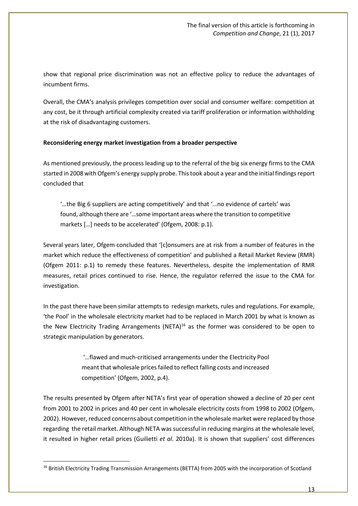show that regional price discrimination was not an effective policy to reduce the advantages of incumbent firms.

Overall, the CMA's analysis privileges competition over social and consumer welfare: competition at any cost, be it through artificial complexity created via tariff proliferation or information withholding at the risk of disadvantaging customers.

#### **Reconsidering energy market investigation from a broader perspective**

As mentioned previously, the process leading up to the referral of the big six energy firms to the CMA started in 2008 with Ofgem's energy supply probe. This took about a year and the initial findings report concluded that

'…the Big 6 suppliers are acting competitively' and that '…no evidence of cartels' was found, although there are '…some important areas where the transition to competitive markets […] needs to be accelerated' (Ofgem, 2008: p.1).

Several years later, Ofgem concluded that '[c]onsumers are at risk from a number of features in the market which reduce the effectiveness of competition' and published a Retail Market Review (RMR) (Ofgem 2011: p.1) to remedy these features. Nevertheless, despite the implementation of RMR measures, retail prices continued to rise. Hence, the regulator referred the issue to the CMA for investigation.

In the past there have been similar attempts to redesign markets, rules and regulations. For example, 'the Pool' in the wholesale electricity market had to be replaced in March 2001 by what is known as the New Electricity Trading Arrangements (NETA)<sup>16</sup> as the former was considered to be open to strategic manipulation by generators.

> '…flawed and much-criticised arrangements under the Electricity Pool meant that wholesale prices failed to reflect falling costs and increased competition' (Ofgem, 2002, p.4).

The results presented by Ofgem after NETA's first year of operation showed a decline of 20 per cent from 2001 to 2002 in prices and 40 per cent in wholesale electricity costs from 1998 to 2002 (Ofgem, 2002). However, reduced concerns about competition in the wholesale market were replaced by those regarding the retail market. Although NETA was successful in reducing margins at the wholesale level, it resulted in higher retail prices (Guilietti *et al*. 2010a). It is shown that suppliers' cost differences

 $\overline{a}$ 

<sup>&</sup>lt;sup>16</sup> British Electricity Trading Transmission Arrangements (BETTA) from 2005 with the incorporation of Scotland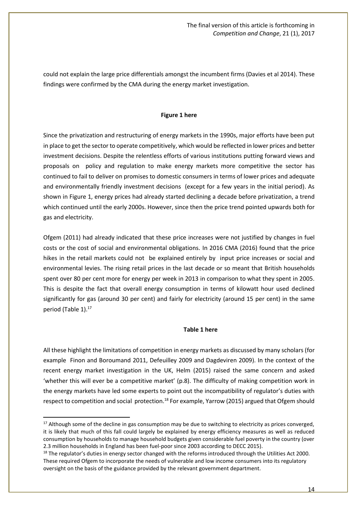could not explain the large price differentials amongst the incumbent firms (Davies et al 2014). These findings were confirmed by the CMA during the energy market investigation.

#### **Figure 1 here**

Since the privatization and restructuring of energy markets in the 1990s, major efforts have been put in place to get the sector to operate competitively, which would be reflected in lower prices and better investment decisions. Despite the relentless efforts of various institutions putting forward views and proposals on policy and regulation to make energy markets more competitive the sector has continued to fail to deliver on promises to domestic consumers in terms of lower prices and adequate and environmentally friendly investment decisions (except for a few years in the initial period). As shown in Figure 1, energy prices had already started declining a decade before privatization, a trend which continued until the early 2000s. However, since then the price trend pointed upwards both for gas and electricity.

Ofgem (2011) had already indicated that these price increases were not justified by changes in fuel costs or the cost of social and environmental obligations. In 2016 CMA (2016) found that the price hikes in the retail markets could not be explained entirely by input price increases or social and environmental levies. The rising retail prices in the last decade or so meant that British households spent over 80 per cent more for energy per week in 2013 in comparison to what they spent in 2005. This is despite the fact that overall energy consumption in terms of kilowatt hour used declined significantly for gas (around 30 per cent) and fairly for electricity (around 15 per cent) in the same period (Table 1). 17

#### **Table 1 here**

All these highlight the limitations of competition in energy markets as discussed by many scholars (for example Finon and Boroumand 2011, Defeuilley 2009 and Dagdeviren 2009). In the context of the recent energy market investigation in the UK, Helm (2015) raised the same concern and asked 'whether this will ever be a competitive market' (p.8). The difficulty of making competition work in the energy markets have led some experts to point out the incompatibility of regulator's duties with respect to competition and social protection.<sup>18</sup> For example, Yarrow (2015) argued that Ofgem should

<sup>&</sup>lt;sup>17</sup> Although some of the decline in gas consumption may be due to switching to electricity as prices converged, it is likely that much of this fall could largely be explained by energy efficiency measures as well as reduced consumption by households to manage household budgets given considerable fuel poverty in the country (over 2.3 million households in England has been fuel-poor since 2003 according to DECC 2015).

 $18$  The regulator's duties in energy sector changed with the reforms introduced through the Utilities Act 2000. These required Ofgem to incorporate the needs of vulnerable and low income consumers into its regulatory oversight on the basis of the guidance provided by the relevant government department.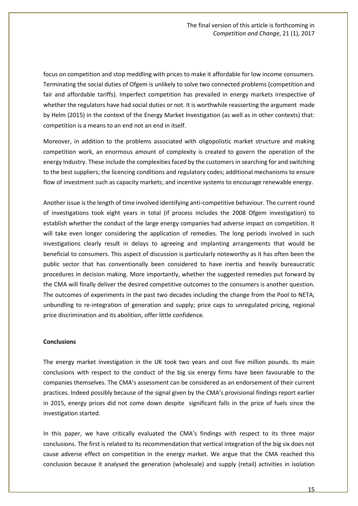focus on competition and stop meddling with prices to make it affordable for low income consumers. Terminating the social duties of Ofgem is unlikely to solve two connected problems (competition and fair and affordable tariffs). Imperfect competition has prevailed in energy markets irrespective of whether the regulators have had social duties or not. It is worthwhile reasserting the argument made by Helm (2015) in the context of the Energy Market Investigation (as well as in other contexts) that: competition is a means to an end not an end in itself.

Moreover, in addition to the problems associated with oligopolistic market structure and making competition work, an enormous amount of complexity is created to govern the operation of the energy Industry. These include the complexities faced by the customers in searching for and switching to the best suppliers; the licencing conditions and regulatory codes; additional mechanisms to ensure flow of investment such as capacity markets; and incentive systems to encourage renewable energy.

Another issue is the length of time involved identifying anti-competitive behaviour. The current round of investigations took eight years in total (if process includes the 2008 Ofgem investigation) to establish whether the conduct of the large energy companies had adverse impact on competition. It will take even longer considering the application of remedies. The long periods involved in such investigations clearly result in delays to agreeing and implanting arrangements that would be beneficial to consumers. This aspect of discussion is particularly noteworthy as it has often been the public sector that has conventionally been considered to have inertia and heavily bureaucratic procedures in decision making. More importantly, whether the suggested remedies put forward by the CMA will finally deliver the desired competitive outcomes to the consumers is another question. The outcomes of experiments in the past two decades including the change from the Pool to NETA; unbundling to re-integration of generation and supply; price caps to unregulated pricing, regional price discrimination and its abolition, offer little confidence.

#### **Conclusions**

The energy market investigation in the UK took two years and cost five million pounds. Its main conclusions with respect to the conduct of the big six energy firms have been favourable to the companies themselves. The CMA's assessment can be considered as an endorsement of their current practices. Indeed possibly because of the signal given by the CMA's provisional findings report earlier in 2015, energy prices did not come down despite significant falls in the price of fuels since the investigation started.

In this paper, we have critically evaluated the CMA's findings with respect to its three major conclusions. The first is related to its recommendation that vertical integration of the big six does not cause adverse effect on competition in the energy market. We argue that the CMA reached this conclusion because it analysed the generation (wholesale) and supply (retail) activities in isolation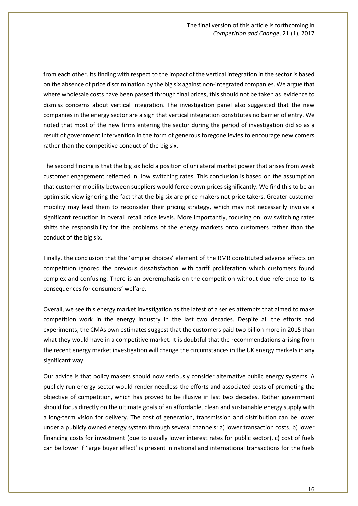from each other. Its finding with respect to the impact of the vertical integration in the sector is based on the absence of price discrimination by the big six against non-integrated companies. We argue that where wholesale costs have been passed through final prices, this should not be taken as evidence to dismiss concerns about vertical integration. The investigation panel also suggested that the new companies in the energy sector are a sign that vertical integration constitutes no barrier of entry. We noted that most of the new firms entering the sector during the period of investigation did so as a result of government intervention in the form of generous foregone levies to encourage new comers rather than the competitive conduct of the big six.

The second finding is that the big six hold a position of unilateral market power that arises from weak customer engagement reflected in low switching rates. This conclusion is based on the assumption that customer mobility between suppliers would force down prices significantly. We find this to be an optimistic view ignoring the fact that the big six are price makers not price takers. Greater customer mobility may lead them to reconsider their pricing strategy, which may not necessarily involve a significant reduction in overall retail price levels. More importantly, focusing on low switching rates shifts the responsibility for the problems of the energy markets onto customers rather than the conduct of the big six.

Finally, the conclusion that the 'simpler choices' element of the RMR constituted adverse effects on competition ignored the previous dissatisfaction with tariff proliferation which customers found complex and confusing. There is an overemphasis on the competition without due reference to its consequences for consumers' welfare.

Overall, we see this energy market investigation as the latest of a series attempts that aimed to make competition work in the energy industry in the last two decades. Despite all the efforts and experiments, the CMAs own estimates suggest that the customers paid two billion more in 2015 than what they would have in a competitive market. It is doubtful that the recommendations arising from the recent energy market investigation will change the circumstances in the UK energy markets in any significant way.

Our advice is that policy makers should now seriously consider alternative public energy systems. A publicly run energy sector would render needless the efforts and associated costs of promoting the objective of competition, which has proved to be illusive in last two decades. Rather government should focus directly on the ultimate goals of an affordable, clean and sustainable energy supply with a long-term vision for delivery. The cost of generation, transmission and distribution can be lower under a publicly owned energy system through several channels: a) lower transaction costs, b) lower financing costs for investment (due to usually lower interest rates for public sector), c) cost of fuels can be lower if 'large buyer effect' is present in national and international transactions for the fuels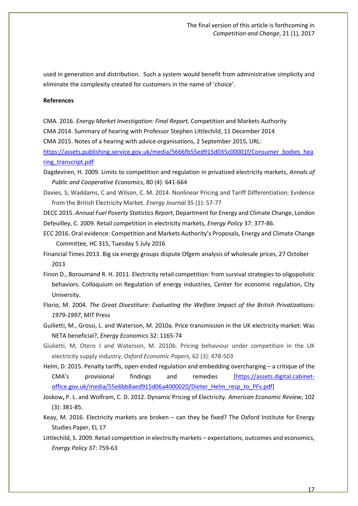used in generation and distribution. Such a system would benefit from administrative simplicity and eliminate the complexity created for customers in the name of 'choice'.

#### **References**

CMA. 2016. *Energy Market Investigation: Final Report*, Competition and Markets Authority

CMA 2014. Summary of hearing with Professor Stephen Littlechild, 11 December 2014

CMA 2015. Notes of a hearing with advice organisations, 2 September 2015, URL:

[https://assets.publishing.service.gov.uk/media/5666fb55ed915d035c00001f/Consumer\\_bodies\\_hea](https://assets.publishing.service.gov.uk/media/5666fb55ed915d035c00001f/Consumer_bodies_hearing_transcript.pdf) [ring\\_transcript.pdf](https://assets.publishing.service.gov.uk/media/5666fb55ed915d035c00001f/Consumer_bodies_hearing_transcript.pdf)

Dagdeviren, H. 2009. Limits to competition and regulation in privatized electricity markets, *Annals of Public and Cooperative Economics*, 80 (4): 641-664

Davies, S; Waddams, C and Wilson, C. M. 2014. Nonlinear Pricing and Tariff Differentiation: Evidence from the British Electricity Market. *Energy Journal* 35 (1): 57-77

DECC 2015. *Annual Fuel Poverty Statistics Report*, Department for Energy and Climate Change, London Defeuilley, C. 2009. Retail competition in electricity markets, *Energy Policy* 37: 377-86.

ECC 2016. Oral evidence: Competition and Markets Authority's Proposals, Energy and Climate Change Committee, HC 315, Tuesday 5 July 2016

Financial Times 2013. Big six energy groups dispute Ofgem analysis of wholesale prices, 27 October 2013

Finon D., Boroumand R. H. 2011. Electricity retail competition: from survival strategies to oligopolistic behaviors. Colloquium on Regulation of energy industries, Center for economic regulation, City University.

Florio, M. 2004. *The Great Divestiture: Evaluating the Welfare Impact of the British Privatizations*: *1979-1997*, MIT Press

Guilietti, M., Grossi, L. and Waterson, M. 2010a. Price transmission in the UK electricity market: Was NETA beneficial?, *Energy Economics* 32: 1165-74

- Giulietti, M; Otero J and Waterson, M. 2010b. Pricing behaviour under competition in the UK electricity supply industry, *Oxford Economic Papers*, 62 (3): 478-503
- Helm, D. 2015. Penalty tariffs, open-ended regulation and embedding overcharging a critique of the CMA's provisional findings and remedies [\[https://assets.digital.cabinet](https://assets.digital.cabinet-office.gov.uk/media/55e6bb8aed915d06a4000020/Dieter_Helm_resp_to_PFs.pdf)[office.gov.uk/media/55e6bb8aed915d06a4000020/Dieter\\_Helm\\_resp\\_to\\_PFs.pdf\]](https://assets.digital.cabinet-office.gov.uk/media/55e6bb8aed915d06a4000020/Dieter_Helm_resp_to_PFs.pdf)
- Joskow**,** P. L. and Wolfram, C. D. 2012. Dynamic Pricing of Electricity. *American Economic Review*, 102 (3): 381-85.
- Keay, M. 2016. Electricity markets are broken can they be fixed? The Oxford Institute for Energy Studies Paper, EL 17
- Littlechild, S. 2009. Retail competition in electricity markets expectations, outcomes and economics, *Energy Policy* 37: 759-63